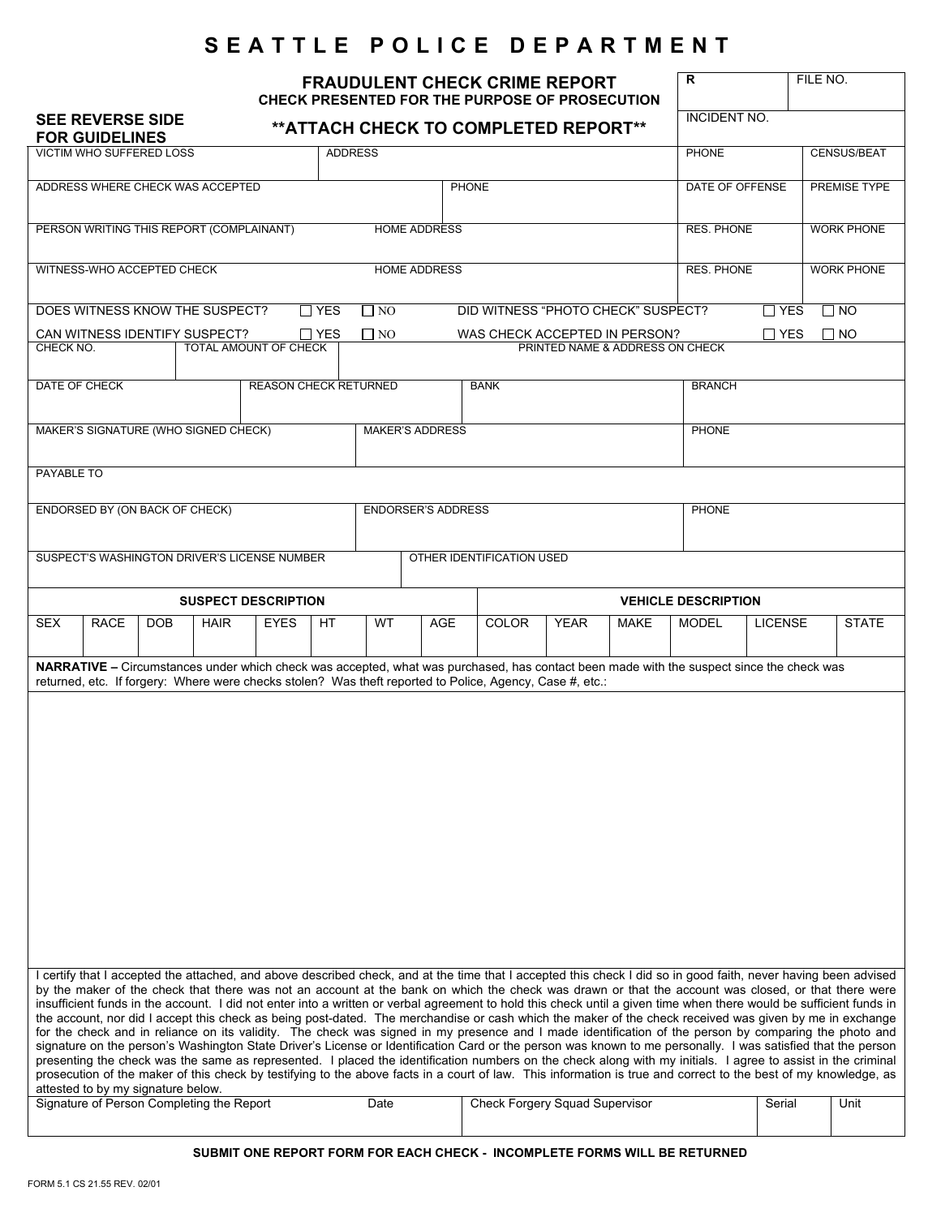# **SEATTLE POLICE DEPARTMENT**

| <b>FRAUDULENT CHECK CRIME REPORT</b><br>CHECK PRESENTED FOR THE PURPOSE OF PROSECUTION                                                                               |                                                                                                                                                                                                                                                                                                                                                                                                                                                                                                                                                                                                                                                          |                                  |                                           |                |     |           |             |                                |             |                     |                                                                                                                                                                                                                                                                                                                                                                                                                                                                                       | R                          |                    | FILE NO.          |  |
|----------------------------------------------------------------------------------------------------------------------------------------------------------------------|----------------------------------------------------------------------------------------------------------------------------------------------------------------------------------------------------------------------------------------------------------------------------------------------------------------------------------------------------------------------------------------------------------------------------------------------------------------------------------------------------------------------------------------------------------------------------------------------------------------------------------------------------------|----------------------------------|-------------------------------------------|----------------|-----|-----------|-------------|--------------------------------|-------------|---------------------|---------------------------------------------------------------------------------------------------------------------------------------------------------------------------------------------------------------------------------------------------------------------------------------------------------------------------------------------------------------------------------------------------------------------------------------------------------------------------------------|----------------------------|--------------------|-------------------|--|
| <b>SEE REVERSE SIDE</b><br>** ATTACH CHECK TO COMPLETED REPORT**<br><b>FOR GUIDELINES</b>                                                                            |                                                                                                                                                                                                                                                                                                                                                                                                                                                                                                                                                                                                                                                          |                                  |                                           |                |     |           |             |                                |             | <b>INCIDENT NO.</b> |                                                                                                                                                                                                                                                                                                                                                                                                                                                                                       |                            |                    |                   |  |
|                                                                                                                                                                      | <b>VICTIM WHO SUFFERED LOSS</b>                                                                                                                                                                                                                                                                                                                                                                                                                                                                                                                                                                                                                          |                                  |                                           | <b>ADDRESS</b> |     |           |             |                                |             | <b>PHONE</b>        |                                                                                                                                                                                                                                                                                                                                                                                                                                                                                       |                            | <b>CENSUS/BEAT</b> |                   |  |
|                                                                                                                                                                      |                                                                                                                                                                                                                                                                                                                                                                                                                                                                                                                                                                                                                                                          | ADDRESS WHERE CHECK WAS ACCEPTED |                                           |                |     |           | PHONE       |                                |             | DATE OF OFFENSE     |                                                                                                                                                                                                                                                                                                                                                                                                                                                                                       |                            | PREMISE TYPE       |                   |  |
| PERSON WRITING THIS REPORT (COMPLAINANT)<br><b>HOME ADDRESS</b>                                                                                                      |                                                                                                                                                                                                                                                                                                                                                                                                                                                                                                                                                                                                                                                          |                                  |                                           |                |     |           |             |                                |             |                     |                                                                                                                                                                                                                                                                                                                                                                                                                                                                                       | <b>RES. PHONE</b>          |                    | <b>WORK PHONE</b> |  |
| <b>HOME ADDRESS</b><br>WITNESS-WHO ACCEPTED CHECK                                                                                                                    |                                                                                                                                                                                                                                                                                                                                                                                                                                                                                                                                                                                                                                                          |                                  |                                           |                |     |           |             |                                |             |                     |                                                                                                                                                                                                                                                                                                                                                                                                                                                                                       | <b>RES. PHONE</b>          |                    | <b>WORK PHONE</b> |  |
| DOES WITNESS KNOW THE SUSPECT?<br>DID WITNESS "PHOTO CHECK" SUSPECT?<br>$\Box$ YES<br>$\Box$ NO                                                                      |                                                                                                                                                                                                                                                                                                                                                                                                                                                                                                                                                                                                                                                          |                                  |                                           |                |     |           |             |                                |             |                     |                                                                                                                                                                                                                                                                                                                                                                                                                                                                                       | $\Box$ YES<br>$\square$ NO |                    |                   |  |
| CAN WITNESS IDENTIFY SUSPECT?<br>$\Box$ NO<br>WAS CHECK ACCEPTED IN PERSON?<br>∐ YES<br><b>TOTAL AMOUNT OF CHECK</b><br>CHECK NO.<br>PRINTED NAME & ADDRESS ON CHECK |                                                                                                                                                                                                                                                                                                                                                                                                                                                                                                                                                                                                                                                          |                                  |                                           |                |     |           |             |                                |             |                     | $\Box$ YES<br>$\Box$ NO                                                                                                                                                                                                                                                                                                                                                                                                                                                               |                            |                    |                   |  |
|                                                                                                                                                                      | <b>REASON CHECK RETURNED</b>                                                                                                                                                                                                                                                                                                                                                                                                                                                                                                                                                                                                                             |                                  |                                           |                |     |           |             |                                |             |                     |                                                                                                                                                                                                                                                                                                                                                                                                                                                                                       |                            |                    |                   |  |
| DATE OF CHECK                                                                                                                                                        |                                                                                                                                                                                                                                                                                                                                                                                                                                                                                                                                                                                                                                                          |                                  |                                           |                |     |           | <b>BANK</b> | <b>BRANCH</b>                  |             |                     |                                                                                                                                                                                                                                                                                                                                                                                                                                                                                       |                            |                    |                   |  |
| MAKER'S SIGNATURE (WHO SIGNED CHECK)<br><b>MAKER'S ADDRESS</b>                                                                                                       |                                                                                                                                                                                                                                                                                                                                                                                                                                                                                                                                                                                                                                                          |                                  |                                           |                |     |           |             |                                |             | <b>PHONE</b>        |                                                                                                                                                                                                                                                                                                                                                                                                                                                                                       |                            |                    |                   |  |
|                                                                                                                                                                      | PAYABLE TO                                                                                                                                                                                                                                                                                                                                                                                                                                                                                                                                                                                                                                               |                                  |                                           |                |     |           |             |                                |             |                     |                                                                                                                                                                                                                                                                                                                                                                                                                                                                                       |                            |                    |                   |  |
| ENDORSED BY (ON BACK OF CHECK)<br><b>ENDORSER'S ADDRESS</b>                                                                                                          |                                                                                                                                                                                                                                                                                                                                                                                                                                                                                                                                                                                                                                                          |                                  |                                           |                |     |           |             |                                |             | <b>PHONE</b>        |                                                                                                                                                                                                                                                                                                                                                                                                                                                                                       |                            |                    |                   |  |
| OTHER IDENTIFICATION USED<br>SUSPECT'S WASHINGTON DRIVER'S LICENSE NUMBER                                                                                            |                                                                                                                                                                                                                                                                                                                                                                                                                                                                                                                                                                                                                                                          |                                  |                                           |                |     |           |             |                                |             |                     |                                                                                                                                                                                                                                                                                                                                                                                                                                                                                       |                            |                    |                   |  |
| <b>SUSPECT DESCRIPTION</b>                                                                                                                                           |                                                                                                                                                                                                                                                                                                                                                                                                                                                                                                                                                                                                                                                          |                                  |                                           |                |     |           |             |                                |             |                     |                                                                                                                                                                                                                                                                                                                                                                                                                                                                                       | <b>VEHICLE DESCRIPTION</b> |                    |                   |  |
| <b>SEX</b>                                                                                                                                                           | <b>RACE</b>                                                                                                                                                                                                                                                                                                                                                                                                                                                                                                                                                                                                                                              | <b>DOB</b>                       | <b>HAIR</b>                               | <b>EYES</b>    | HT. | <b>WT</b> | <b>AGE</b>  | <b>COLOR</b>                   | <b>YEAR</b> | <b>MAKE</b>         | <b>MODEL</b>                                                                                                                                                                                                                                                                                                                                                                                                                                                                          | <b>LICENSE</b>             |                    | <b>STATE</b>      |  |
|                                                                                                                                                                      | NARRATIVE - Circumstances under which check was accepted, what was purchased, has contact been made with the suspect since the check was<br>returned, etc. If forgery: Where were checks stolen? Was theft reported to Police, Agency, Case #, etc.:                                                                                                                                                                                                                                                                                                                                                                                                     |                                  |                                           |                |     |           |             |                                |             |                     |                                                                                                                                                                                                                                                                                                                                                                                                                                                                                       |                            |                    |                   |  |
|                                                                                                                                                                      |                                                                                                                                                                                                                                                                                                                                                                                                                                                                                                                                                                                                                                                          |                                  |                                           |                |     |           |             |                                |             |                     |                                                                                                                                                                                                                                                                                                                                                                                                                                                                                       |                            |                    |                   |  |
|                                                                                                                                                                      |                                                                                                                                                                                                                                                                                                                                                                                                                                                                                                                                                                                                                                                          |                                  |                                           |                |     |           |             |                                |             |                     |                                                                                                                                                                                                                                                                                                                                                                                                                                                                                       |                            |                    |                   |  |
|                                                                                                                                                                      |                                                                                                                                                                                                                                                                                                                                                                                                                                                                                                                                                                                                                                                          |                                  |                                           |                |     |           |             |                                |             |                     |                                                                                                                                                                                                                                                                                                                                                                                                                                                                                       |                            |                    |                   |  |
|                                                                                                                                                                      |                                                                                                                                                                                                                                                                                                                                                                                                                                                                                                                                                                                                                                                          |                                  |                                           |                |     |           |             |                                |             |                     |                                                                                                                                                                                                                                                                                                                                                                                                                                                                                       |                            |                    |                   |  |
|                                                                                                                                                                      |                                                                                                                                                                                                                                                                                                                                                                                                                                                                                                                                                                                                                                                          |                                  |                                           |                |     |           |             |                                |             |                     |                                                                                                                                                                                                                                                                                                                                                                                                                                                                                       |                            |                    |                   |  |
|                                                                                                                                                                      |                                                                                                                                                                                                                                                                                                                                                                                                                                                                                                                                                                                                                                                          |                                  |                                           |                |     |           |             |                                |             |                     |                                                                                                                                                                                                                                                                                                                                                                                                                                                                                       |                            |                    |                   |  |
|                                                                                                                                                                      |                                                                                                                                                                                                                                                                                                                                                                                                                                                                                                                                                                                                                                                          |                                  |                                           |                |     |           |             |                                |             |                     |                                                                                                                                                                                                                                                                                                                                                                                                                                                                                       |                            |                    |                   |  |
|                                                                                                                                                                      |                                                                                                                                                                                                                                                                                                                                                                                                                                                                                                                                                                                                                                                          |                                  |                                           |                |     |           |             |                                |             |                     |                                                                                                                                                                                                                                                                                                                                                                                                                                                                                       |                            |                    |                   |  |
|                                                                                                                                                                      | I certify that I accepted the attached, and above described check, and at the time that I accepted this check I did so in good faith, never having been advised<br>by the maker of the check that there was not an account at the bank on which the check was drawn or that the account was closed, or that there were<br>insufficient funds in the account. I did not enter into a written or verbal agreement to hold this check until a given time when there would be sufficient funds in<br>the account, nor did I accept this check as being post-dated. The merchandise or cash which the maker of the check received was given by me in exchange |                                  |                                           |                |     |           |             |                                |             |                     |                                                                                                                                                                                                                                                                                                                                                                                                                                                                                       |                            |                    |                   |  |
|                                                                                                                                                                      |                                                                                                                                                                                                                                                                                                                                                                                                                                                                                                                                                                                                                                                          |                                  |                                           |                |     |           |             |                                |             |                     | for the check and in reliance on its validity. The check was signed in my presence and I made identification of the person by comparing the photo and<br>signature on the person's Washington State Driver's License or Identification Card or the person was known to me personally. I was satisfied that the person<br>presenting the check was the same as represented. I placed the identification numbers on the check along with my initials. I agree to assist in the criminal |                            |                    |                   |  |
|                                                                                                                                                                      | attested to by my signature below.                                                                                                                                                                                                                                                                                                                                                                                                                                                                                                                                                                                                                       |                                  |                                           |                |     |           |             |                                |             |                     | prosecution of the maker of this check by testifying to the above facts in a court of law. This information is true and correct to the best of my knowledge, as                                                                                                                                                                                                                                                                                                                       |                            |                    |                   |  |
|                                                                                                                                                                      |                                                                                                                                                                                                                                                                                                                                                                                                                                                                                                                                                                                                                                                          |                                  | Signature of Person Completing the Report |                |     | Date      |             | Check Forgery Squad Supervisor |             |                     |                                                                                                                                                                                                                                                                                                                                                                                                                                                                                       | Serial                     |                    | Unit              |  |

**SUBMIT ONE REPORT FORM FOR EACH CHECK - INCOMPLETE FORMS WILL BE RETURNED**